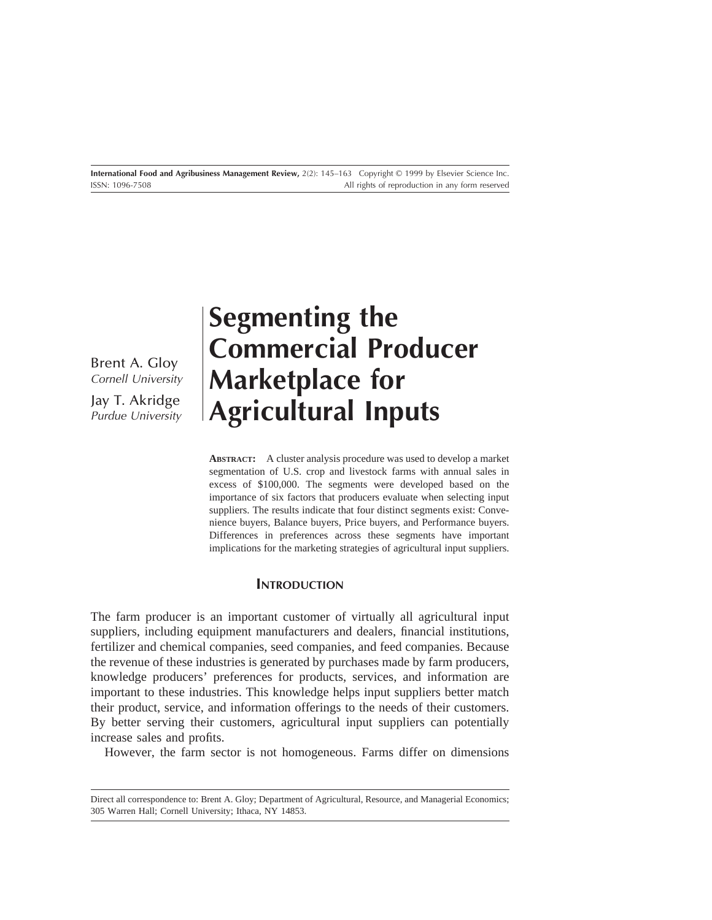**International Food and Agribusiness Management Review,** 2(2): 145–163 Copyright © 1999 by Elsevier Science Inc. ISSN: 1096-7508 All rights of reproduction in any form reserved

Brent A. Gloy Cornell University

Jay T. Akridge Purdue University

# **Segmenting the Commercial Producer Marketplace for Agricultural Inputs**

**ABSTRACT:** A cluster analysis procedure was used to develop a market segmentation of U.S. crop and livestock farms with annual sales in excess of \$100,000. The segments were developed based on the importance of six factors that producers evaluate when selecting input suppliers. The results indicate that four distinct segments exist: Convenience buyers, Balance buyers, Price buyers, and Performance buyers. Differences in preferences across these segments have important implications for the marketing strategies of agricultural input suppliers.

## **INTRODUCTION**

The farm producer is an important customer of virtually all agricultural input suppliers, including equipment manufacturers and dealers, financial institutions, fertilizer and chemical companies, seed companies, and feed companies. Because the revenue of these industries is generated by purchases made by farm producers, knowledge producers' preferences for products, services, and information are important to these industries. This knowledge helps input suppliers better match their product, service, and information offerings to the needs of their customers. By better serving their customers, agricultural input suppliers can potentially increase sales and profits.

However, the farm sector is not homogeneous. Farms differ on dimensions

Direct all correspondence to: Brent A. Gloy; Department of Agricultural, Resource, and Managerial Economics; 305 Warren Hall; Cornell University; Ithaca, NY 14853.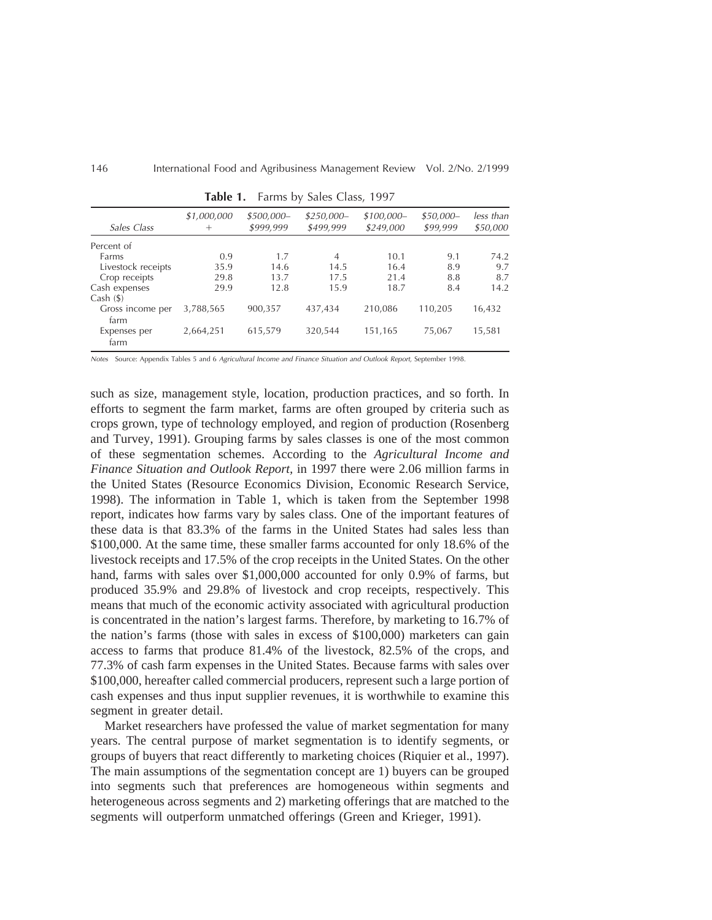| Sales Class              | \$1,000,000<br>$^{+}$ | \$500,000-<br>\$999,999 | $$250,000-$<br>\$499,999 | \$100,000-<br>\$249,000 | \$50,000-<br>\$99,999 | less than<br>\$50,000 |
|--------------------------|-----------------------|-------------------------|--------------------------|-------------------------|-----------------------|-----------------------|
| Percent of               |                       |                         |                          |                         |                       |                       |
| Farms                    | 0.9                   | 1.7                     | $\overline{4}$           | 10.1                    | 9.1                   | 74.2                  |
| Livestock receipts       | 35.9                  | 14.6                    | 14.5                     | 16.4                    | 8.9                   | 9.7                   |
| Crop receipts            | 29.8                  | 13.7                    | 17.5                     | 21.4                    | 8.8                   | 8.7                   |
| Cash expenses            | 29.9                  | 12.8                    | 15.9                     | 18.7                    | 8.4                   | 14.2                  |
| Cash (\$)                |                       |                         |                          |                         |                       |                       |
| Gross income per<br>farm | 3,788,565             | 900,357                 | 437,434                  | 210.086                 | 110.205               | 16,432                |
| Expenses per<br>farm     | 2,664,251             | 615,579                 | 320,544                  | 151,165                 | 75,067                | 15,581                |

Table 1. Farms by Sales Class, 1997

Notes Source: Appendix Tables 5 and 6 Agricultural Income and Finance Situation and Outlook Report, September 1998.

such as size, management style, location, production practices, and so forth. In efforts to segment the farm market, farms are often grouped by criteria such as crops grown, type of technology employed, and region of production (Rosenberg and Turvey, 1991). Grouping farms by sales classes is one of the most common of these segmentation schemes. According to the *Agricultural Income and Finance Situation and Outlook Report,* in 1997 there were 2.06 million farms in the United States (Resource Economics Division, Economic Research Service, 1998). The information in Table 1, which is taken from the September 1998 report, indicates how farms vary by sales class. One of the important features of these data is that 83.3% of the farms in the United States had sales less than \$100,000. At the same time, these smaller farms accounted for only 18.6% of the livestock receipts and 17.5% of the crop receipts in the United States. On the other hand, farms with sales over \$1,000,000 accounted for only 0.9% of farms, but produced 35.9% and 29.8% of livestock and crop receipts, respectively. This means that much of the economic activity associated with agricultural production is concentrated in the nation's largest farms. Therefore, by marketing to 16.7% of the nation's farms (those with sales in excess of \$100,000) marketers can gain access to farms that produce 81.4% of the livestock, 82.5% of the crops, and 77.3% of cash farm expenses in the United States. Because farms with sales over \$100,000, hereafter called commercial producers, represent such a large portion of cash expenses and thus input supplier revenues, it is worthwhile to examine this segment in greater detail.

Market researchers have professed the value of market segmentation for many years. The central purpose of market segmentation is to identify segments, or groups of buyers that react differently to marketing choices (Riquier et al., 1997). The main assumptions of the segmentation concept are 1) buyers can be grouped into segments such that preferences are homogeneous within segments and heterogeneous across segments and 2) marketing offerings that are matched to the segments will outperform unmatched offerings (Green and Krieger, 1991).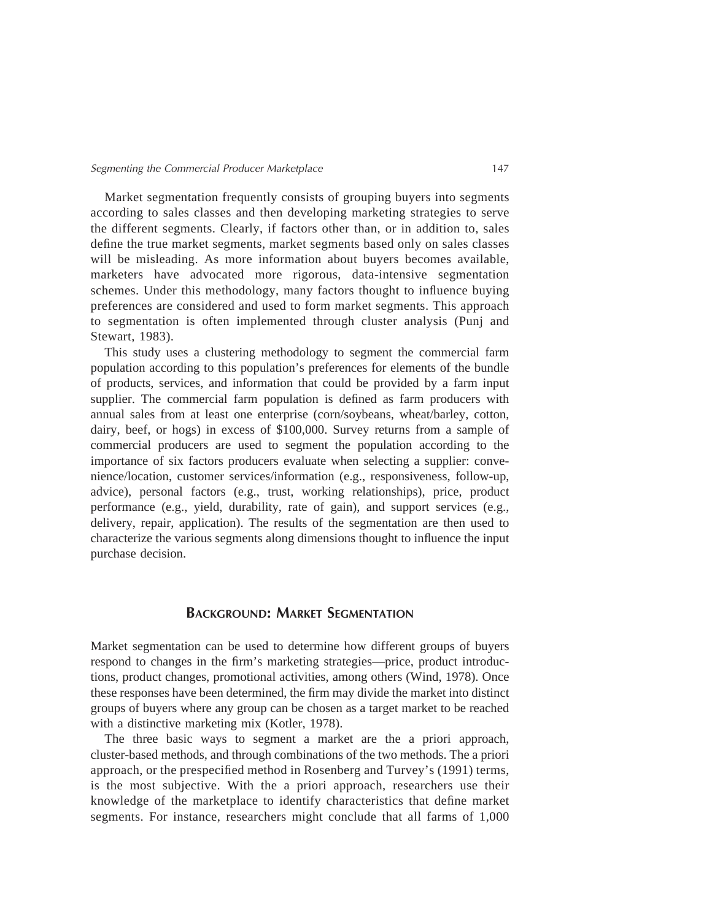Market segmentation frequently consists of grouping buyers into segments according to sales classes and then developing marketing strategies to serve the different segments. Clearly, if factors other than, or in addition to, sales define the true market segments, market segments based only on sales classes will be misleading. As more information about buyers becomes available, marketers have advocated more rigorous, data-intensive segmentation schemes. Under this methodology, many factors thought to influence buying preferences are considered and used to form market segments. This approach to segmentation is often implemented through cluster analysis (Punj and Stewart, 1983).

This study uses a clustering methodology to segment the commercial farm population according to this population's preferences for elements of the bundle of products, services, and information that could be provided by a farm input supplier. The commercial farm population is defined as farm producers with annual sales from at least one enterprise (corn/soybeans, wheat/barley, cotton, dairy, beef, or hogs) in excess of \$100,000. Survey returns from a sample of commercial producers are used to segment the population according to the importance of six factors producers evaluate when selecting a supplier: convenience/location, customer services/information (e.g., responsiveness, follow-up, advice), personal factors (e.g., trust, working relationships), price, product performance (e.g., yield, durability, rate of gain), and support services (e.g., delivery, repair, application). The results of the segmentation are then used to characterize the various segments along dimensions thought to influence the input purchase decision.

## **BACKGROUND: MARKET SEGMENTATION**

Market segmentation can be used to determine how different groups of buyers respond to changes in the firm's marketing strategies—price, product introductions, product changes, promotional activities, among others (Wind, 1978). Once these responses have been determined, the firm may divide the market into distinct groups of buyers where any group can be chosen as a target market to be reached with a distinctive marketing mix (Kotler, 1978).

The three basic ways to segment a market are the a priori approach, cluster-based methods, and through combinations of the two methods. The a priori approach, or the prespecified method in Rosenberg and Turvey's (1991) terms, is the most subjective. With the a priori approach, researchers use their knowledge of the marketplace to identify characteristics that define market segments. For instance, researchers might conclude that all farms of 1,000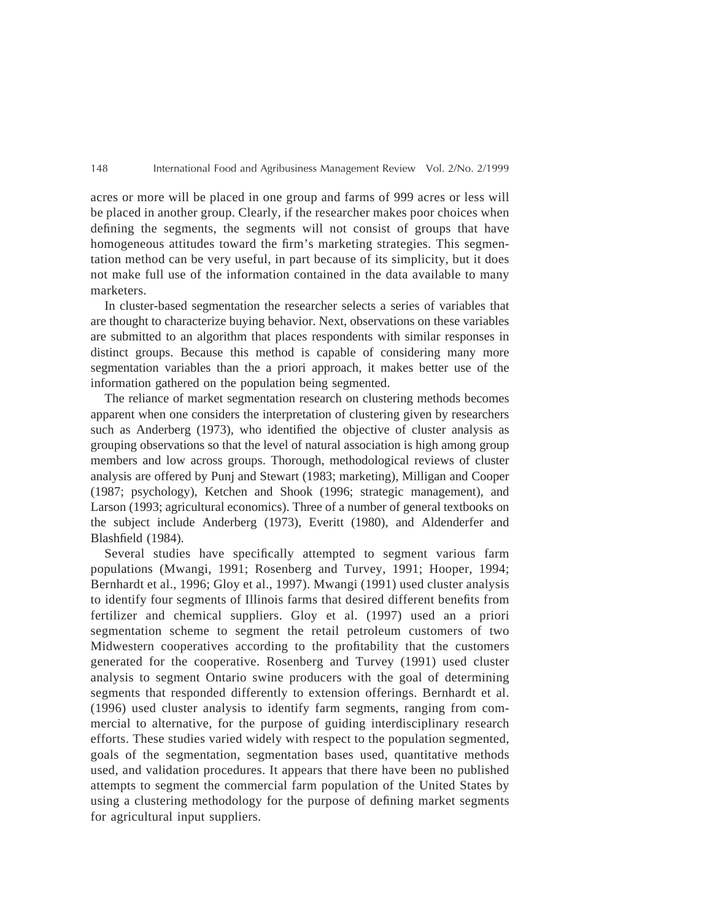acres or more will be placed in one group and farms of 999 acres or less will be placed in another group. Clearly, if the researcher makes poor choices when defining the segments, the segments will not consist of groups that have homogeneous attitudes toward the firm's marketing strategies. This segmentation method can be very useful, in part because of its simplicity, but it does not make full use of the information contained in the data available to many marketers.

In cluster-based segmentation the researcher selects a series of variables that are thought to characterize buying behavior. Next, observations on these variables are submitted to an algorithm that places respondents with similar responses in distinct groups. Because this method is capable of considering many more segmentation variables than the a priori approach, it makes better use of the information gathered on the population being segmented.

The reliance of market segmentation research on clustering methods becomes apparent when one considers the interpretation of clustering given by researchers such as Anderberg (1973), who identified the objective of cluster analysis as grouping observations so that the level of natural association is high among group members and low across groups. Thorough, methodological reviews of cluster analysis are offered by Punj and Stewart (1983; marketing), Milligan and Cooper (1987; psychology), Ketchen and Shook (1996; strategic management), and Larson (1993; agricultural economics). Three of a number of general textbooks on the subject include Anderberg (1973), Everitt (1980), and Aldenderfer and Blashfield (1984).

Several studies have specifically attempted to segment various farm populations (Mwangi, 1991; Rosenberg and Turvey, 1991; Hooper, 1994; Bernhardt et al., 1996; Gloy et al., 1997). Mwangi (1991) used cluster analysis to identify four segments of Illinois farms that desired different benefits from fertilizer and chemical suppliers. Gloy et al. (1997) used an a priori segmentation scheme to segment the retail petroleum customers of two Midwestern cooperatives according to the profitability that the customers generated for the cooperative. Rosenberg and Turvey (1991) used cluster analysis to segment Ontario swine producers with the goal of determining segments that responded differently to extension offerings. Bernhardt et al. (1996) used cluster analysis to identify farm segments, ranging from commercial to alternative, for the purpose of guiding interdisciplinary research efforts. These studies varied widely with respect to the population segmented, goals of the segmentation, segmentation bases used, quantitative methods used, and validation procedures. It appears that there have been no published attempts to segment the commercial farm population of the United States by using a clustering methodology for the purpose of defining market segments for agricultural input suppliers.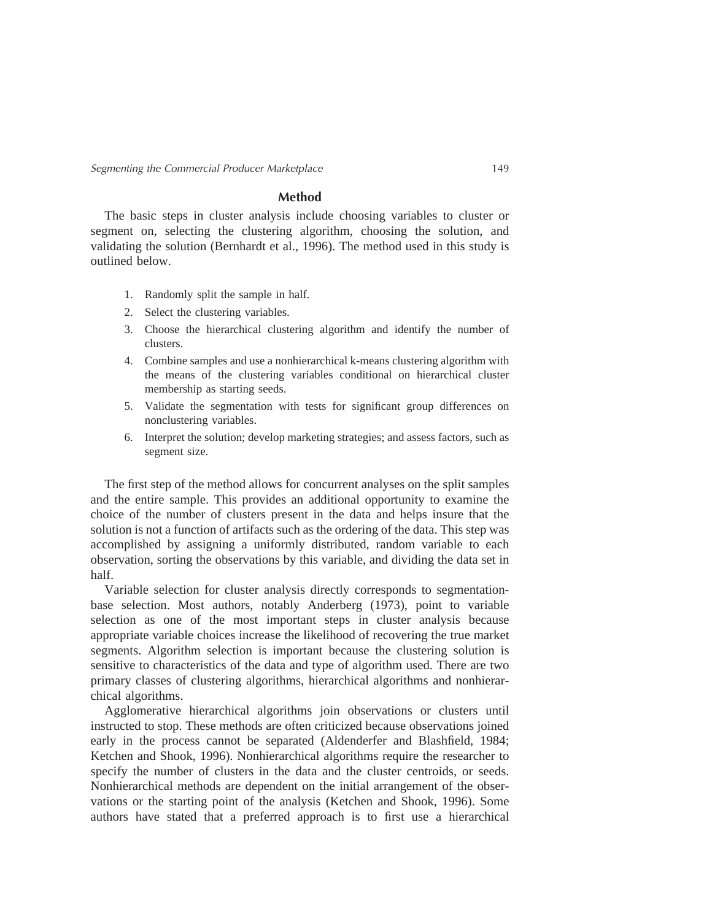## **Method**

The basic steps in cluster analysis include choosing variables to cluster or segment on, selecting the clustering algorithm, choosing the solution, and validating the solution (Bernhardt et al., 1996). The method used in this study is outlined below.

- 1. Randomly split the sample in half.
- 2. Select the clustering variables.
- 3. Choose the hierarchical clustering algorithm and identify the number of clusters.
- 4. Combine samples and use a nonhierarchical k-means clustering algorithm with the means of the clustering variables conditional on hierarchical cluster membership as starting seeds.
- 5. Validate the segmentation with tests for significant group differences on nonclustering variables.
- 6. Interpret the solution; develop marketing strategies; and assess factors, such as segment size.

The first step of the method allows for concurrent analyses on the split samples and the entire sample. This provides an additional opportunity to examine the choice of the number of clusters present in the data and helps insure that the solution is not a function of artifacts such as the ordering of the data. This step was accomplished by assigning a uniformly distributed, random variable to each observation, sorting the observations by this variable, and dividing the data set in half.

Variable selection for cluster analysis directly corresponds to segmentationbase selection. Most authors, notably Anderberg (1973), point to variable selection as one of the most important steps in cluster analysis because appropriate variable choices increase the likelihood of recovering the true market segments. Algorithm selection is important because the clustering solution is sensitive to characteristics of the data and type of algorithm used. There are two primary classes of clustering algorithms, hierarchical algorithms and nonhierarchical algorithms.

Agglomerative hierarchical algorithms join observations or clusters until instructed to stop. These methods are often criticized because observations joined early in the process cannot be separated (Aldenderfer and Blashfield, 1984; Ketchen and Shook, 1996). Nonhierarchical algorithms require the researcher to specify the number of clusters in the data and the cluster centroids, or seeds. Nonhierarchical methods are dependent on the initial arrangement of the observations or the starting point of the analysis (Ketchen and Shook, 1996). Some authors have stated that a preferred approach is to first use a hierarchical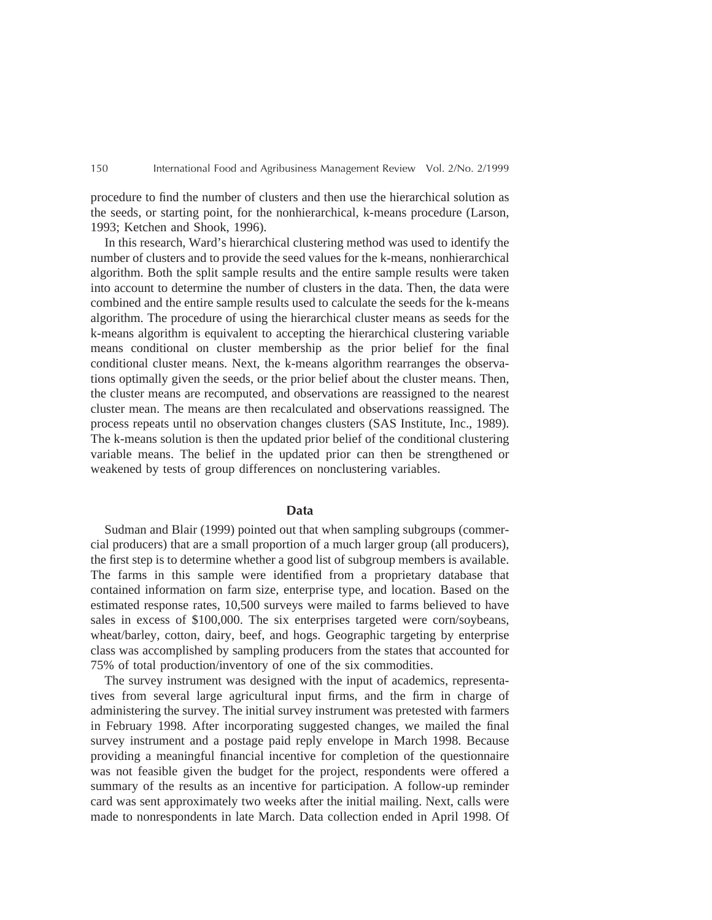procedure to find the number of clusters and then use the hierarchical solution as the seeds, or starting point, for the nonhierarchical, k-means procedure (Larson, 1993; Ketchen and Shook, 1996).

In this research, Ward's hierarchical clustering method was used to identify the number of clusters and to provide the seed values for the k-means, nonhierarchical algorithm. Both the split sample results and the entire sample results were taken into account to determine the number of clusters in the data. Then, the data were combined and the entire sample results used to calculate the seeds for the k-means algorithm. The procedure of using the hierarchical cluster means as seeds for the k-means algorithm is equivalent to accepting the hierarchical clustering variable means conditional on cluster membership as the prior belief for the final conditional cluster means. Next, the k-means algorithm rearranges the observations optimally given the seeds, or the prior belief about the cluster means. Then, the cluster means are recomputed, and observations are reassigned to the nearest cluster mean. The means are then recalculated and observations reassigned. The process repeats until no observation changes clusters (SAS Institute, Inc., 1989). The k-means solution is then the updated prior belief of the conditional clustering variable means. The belief in the updated prior can then be strengthened or weakened by tests of group differences on nonclustering variables.

#### **Data**

Sudman and Blair (1999) pointed out that when sampling subgroups (commercial producers) that are a small proportion of a much larger group (all producers), the first step is to determine whether a good list of subgroup members is available. The farms in this sample were identified from a proprietary database that contained information on farm size, enterprise type, and location. Based on the estimated response rates, 10,500 surveys were mailed to farms believed to have sales in excess of \$100,000. The six enterprises targeted were corn/soybeans, wheat/barley, cotton, dairy, beef, and hogs. Geographic targeting by enterprise class was accomplished by sampling producers from the states that accounted for 75% of total production/inventory of one of the six commodities.

The survey instrument was designed with the input of academics, representatives from several large agricultural input firms, and the firm in charge of administering the survey. The initial survey instrument was pretested with farmers in February 1998. After incorporating suggested changes, we mailed the final survey instrument and a postage paid reply envelope in March 1998. Because providing a meaningful financial incentive for completion of the questionnaire was not feasible given the budget for the project, respondents were offered a summary of the results as an incentive for participation. A follow-up reminder card was sent approximately two weeks after the initial mailing. Next, calls were made to nonrespondents in late March. Data collection ended in April 1998. Of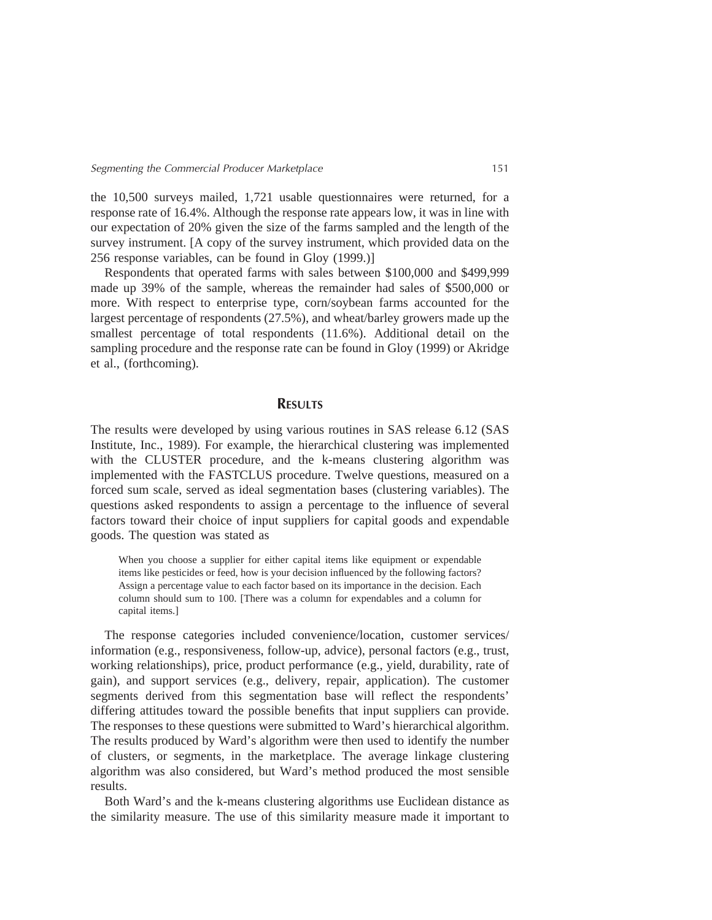the 10,500 surveys mailed, 1,721 usable questionnaires were returned, for a response rate of 16.4%. Although the response rate appears low, it was in line with our expectation of 20% given the size of the farms sampled and the length of the survey instrument. [A copy of the survey instrument, which provided data on the 256 response variables, can be found in Gloy (1999.)]

Respondents that operated farms with sales between \$100,000 and \$499,999 made up 39% of the sample, whereas the remainder had sales of \$500,000 or more. With respect to enterprise type, corn/soybean farms accounted for the largest percentage of respondents (27.5%), and wheat/barley growers made up the smallest percentage of total respondents (11.6%). Additional detail on the sampling procedure and the response rate can be found in Gloy (1999) or Akridge et al., (forthcoming).

## **RESULTS**

The results were developed by using various routines in SAS release 6.12 (SAS Institute, Inc., 1989). For example, the hierarchical clustering was implemented with the CLUSTER procedure, and the k-means clustering algorithm was implemented with the FASTCLUS procedure. Twelve questions, measured on a forced sum scale, served as ideal segmentation bases (clustering variables). The questions asked respondents to assign a percentage to the influence of several factors toward their choice of input suppliers for capital goods and expendable goods. The question was stated as

When you choose a supplier for either capital items like equipment or expendable items like pesticides or feed, how is your decision influenced by the following factors? Assign a percentage value to each factor based on its importance in the decision. Each column should sum to 100. [There was a column for expendables and a column for capital items.]

The response categories included convenience/location, customer services/ information (e.g., responsiveness, follow-up, advice), personal factors (e.g., trust, working relationships), price, product performance (e.g., yield, durability, rate of gain), and support services (e.g., delivery, repair, application). The customer segments derived from this segmentation base will reflect the respondents' differing attitudes toward the possible benefits that input suppliers can provide. The responses to these questions were submitted to Ward's hierarchical algorithm. The results produced by Ward's algorithm were then used to identify the number of clusters, or segments, in the marketplace. The average linkage clustering algorithm was also considered, but Ward's method produced the most sensible results.

Both Ward's and the k-means clustering algorithms use Euclidean distance as the similarity measure. The use of this similarity measure made it important to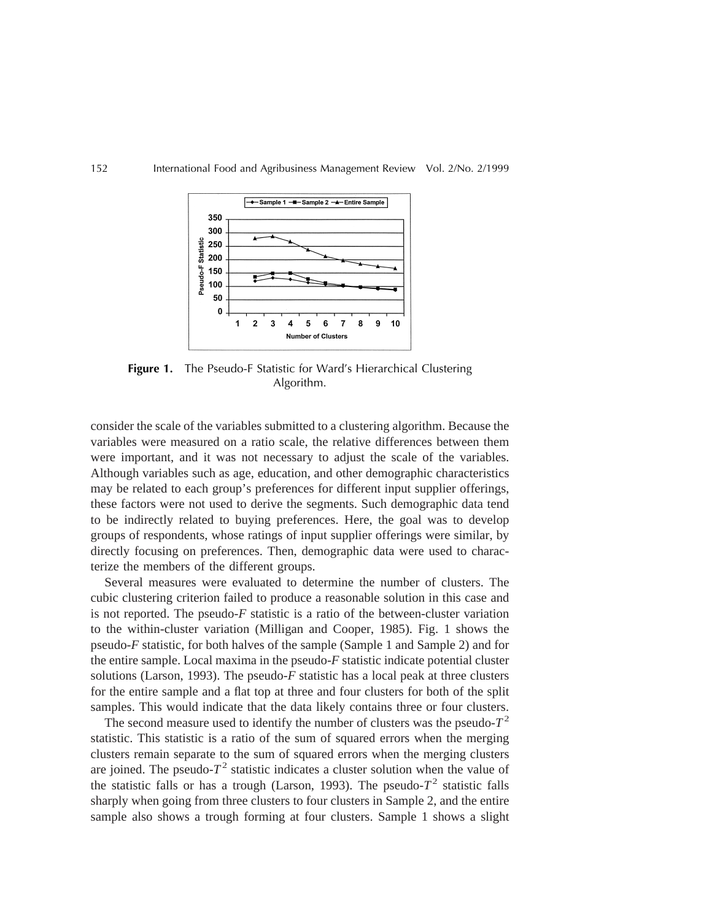

**Figure 1.** The Pseudo-F Statistic for Ward's Hierarchical Clustering Algorithm.

consider the scale of the variables submitted to a clustering algorithm. Because the variables were measured on a ratio scale, the relative differences between them were important, and it was not necessary to adjust the scale of the variables. Although variables such as age, education, and other demographic characteristics may be related to each group's preferences for different input supplier offerings, these factors were not used to derive the segments. Such demographic data tend to be indirectly related to buying preferences. Here, the goal was to develop groups of respondents, whose ratings of input supplier offerings were similar, by directly focusing on preferences. Then, demographic data were used to characterize the members of the different groups.

Several measures were evaluated to determine the number of clusters. The cubic clustering criterion failed to produce a reasonable solution in this case and is not reported. The pseudo-*F* statistic is a ratio of the between-cluster variation to the within-cluster variation (Milligan and Cooper, 1985). Fig. 1 shows the pseudo-*F* statistic, for both halves of the sample (Sample 1 and Sample 2) and for the entire sample. Local maxima in the pseudo-*F* statistic indicate potential cluster solutions (Larson, 1993). The pseudo-*F* statistic has a local peak at three clusters for the entire sample and a flat top at three and four clusters for both of the split samples. This would indicate that the data likely contains three or four clusters.

The second measure used to identify the number of clusters was the pseudo- $T^2$ statistic. This statistic is a ratio of the sum of squared errors when the merging clusters remain separate to the sum of squared errors when the merging clusters are joined. The pseudo- $T^2$  statistic indicates a cluster solution when the value of the statistic falls or has a trough (Larson, 1993). The pseudo- $T^2$  statistic falls sharply when going from three clusters to four clusters in Sample 2, and the entire sample also shows a trough forming at four clusters. Sample 1 shows a slight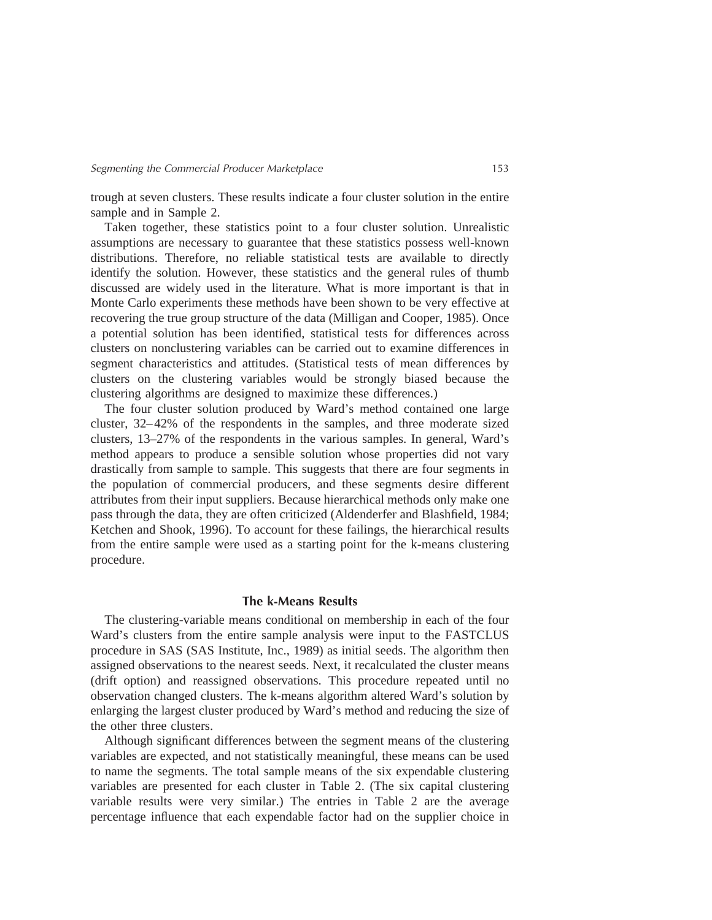trough at seven clusters. These results indicate a four cluster solution in the entire sample and in Sample 2.

Taken together, these statistics point to a four cluster solution. Unrealistic assumptions are necessary to guarantee that these statistics possess well-known distributions. Therefore, no reliable statistical tests are available to directly identify the solution. However, these statistics and the general rules of thumb discussed are widely used in the literature. What is more important is that in Monte Carlo experiments these methods have been shown to be very effective at recovering the true group structure of the data (Milligan and Cooper, 1985). Once a potential solution has been identified, statistical tests for differences across clusters on nonclustering variables can be carried out to examine differences in segment characteristics and attitudes. (Statistical tests of mean differences by clusters on the clustering variables would be strongly biased because the clustering algorithms are designed to maximize these differences.)

The four cluster solution produced by Ward's method contained one large cluster, 32–42% of the respondents in the samples, and three moderate sized clusters, 13–27% of the respondents in the various samples. In general, Ward's method appears to produce a sensible solution whose properties did not vary drastically from sample to sample. This suggests that there are four segments in the population of commercial producers, and these segments desire different attributes from their input suppliers. Because hierarchical methods only make one pass through the data, they are often criticized (Aldenderfer and Blashfield, 1984; Ketchen and Shook, 1996). To account for these failings, the hierarchical results from the entire sample were used as a starting point for the k-means clustering procedure.

#### **The k-Means Results**

The clustering-variable means conditional on membership in each of the four Ward's clusters from the entire sample analysis were input to the FASTCLUS procedure in SAS (SAS Institute, Inc., 1989) as initial seeds. The algorithm then assigned observations to the nearest seeds. Next, it recalculated the cluster means (drift option) and reassigned observations. This procedure repeated until no observation changed clusters. The k-means algorithm altered Ward's solution by enlarging the largest cluster produced by Ward's method and reducing the size of the other three clusters.

Although significant differences between the segment means of the clustering variables are expected, and not statistically meaningful, these means can be used to name the segments. The total sample means of the six expendable clustering variables are presented for each cluster in Table 2. (The six capital clustering variable results were very similar.) The entries in Table 2 are the average percentage influence that each expendable factor had on the supplier choice in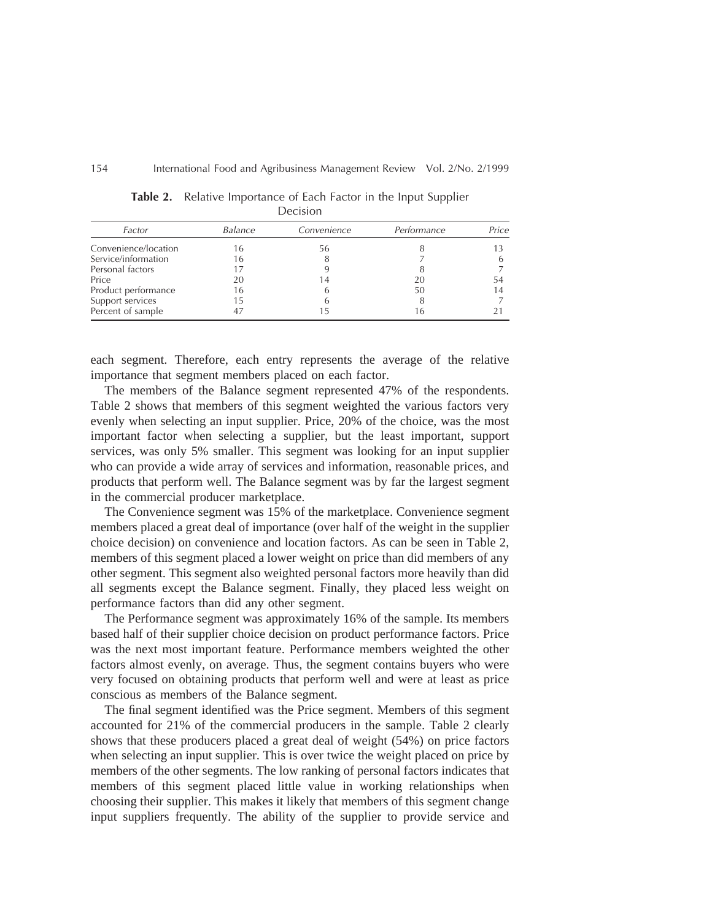| Factor               | <i>Balance</i> | Convenience | Performance | Price |  |  |  |  |
|----------------------|----------------|-------------|-------------|-------|--|--|--|--|
| Convenience/location | 16             | 56          |             |       |  |  |  |  |
| Service/information  | 16             |             |             |       |  |  |  |  |
| Personal factors     | 17             |             |             |       |  |  |  |  |
| Price                | 20             | 14          | 20          | 54    |  |  |  |  |
| Product performance  | 16             | n           | 50          | 14    |  |  |  |  |
| Support services     | 15             |             |             |       |  |  |  |  |
| Percent of sample    | 47             |             | 16          |       |  |  |  |  |

**Table 2.** Relative Importance of Each Factor in the Input Supplier Decision

each segment. Therefore, each entry represents the average of the relative importance that segment members placed on each factor.

The members of the Balance segment represented 47% of the respondents. Table 2 shows that members of this segment weighted the various factors very evenly when selecting an input supplier. Price, 20% of the choice, was the most important factor when selecting a supplier, but the least important, support services, was only 5% smaller. This segment was looking for an input supplier who can provide a wide array of services and information, reasonable prices, and products that perform well. The Balance segment was by far the largest segment in the commercial producer marketplace.

The Convenience segment was 15% of the marketplace. Convenience segment members placed a great deal of importance (over half of the weight in the supplier choice decision) on convenience and location factors. As can be seen in Table 2, members of this segment placed a lower weight on price than did members of any other segment. This segment also weighted personal factors more heavily than did all segments except the Balance segment. Finally, they placed less weight on performance factors than did any other segment.

The Performance segment was approximately 16% of the sample. Its members based half of their supplier choice decision on product performance factors. Price was the next most important feature. Performance members weighted the other factors almost evenly, on average. Thus, the segment contains buyers who were very focused on obtaining products that perform well and were at least as price conscious as members of the Balance segment.

The final segment identified was the Price segment. Members of this segment accounted for 21% of the commercial producers in the sample. Table 2 clearly shows that these producers placed a great deal of weight (54%) on price factors when selecting an input supplier. This is over twice the weight placed on price by members of the other segments. The low ranking of personal factors indicates that members of this segment placed little value in working relationships when choosing their supplier. This makes it likely that members of this segment change input suppliers frequently. The ability of the supplier to provide service and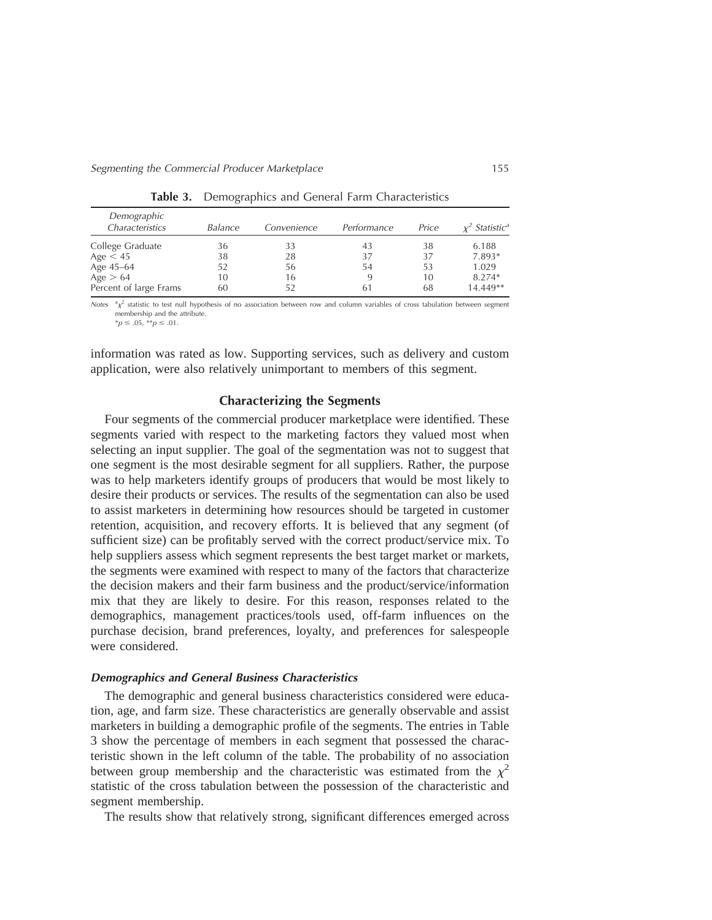| Demographic<br><i>Characteristics</i> | <i>Balance</i> | Convenience | Performance | Price | $x^2$ Statistic <sup>a</sup> |
|---------------------------------------|----------------|-------------|-------------|-------|------------------------------|
| College Graduate                      | 36             | 33          | 43          | 38    | 6.188                        |
| Age < 45                              | 38             | 28          | 37          | 37    | $7.893*$                     |
| Age 45-64                             | 52             | 56          | 54          | 53    | 1.029                        |
| Age > 64                              | 10             | 16          | 9           | 10    | 8.274*                       |
| Percent of large Frams                | 60             | 52          | 61          | 68    | 14.449**                     |

**Table 3.** Demographics and General Farm Characteristics

Notes  $a_{\chi^2}$  statistic to test null hypothesis of no association between row and column variables of cross tabulation between segment membership and the attribute.

 $*_{p} \leq .05, **_{p} \leq .01.$ 

information was rated as low. Supporting services, such as delivery and custom application, were also relatively unimportant to members of this segment.

### **Characterizing the Segments**

Four segments of the commercial producer marketplace were identified. These segments varied with respect to the marketing factors they valued most when selecting an input supplier. The goal of the segmentation was not to suggest that one segment is the most desirable segment for all suppliers. Rather, the purpose was to help marketers identify groups of producers that would be most likely to desire their products or services. The results of the segmentation can also be used to assist marketers in determining how resources should be targeted in customer retention, acquisition, and recovery efforts. It is believed that any segment (of sufficient size) can be profitably served with the correct product/service mix. To help suppliers assess which segment represents the best target market or markets, the segments were examined with respect to many of the factors that characterize the decision makers and their farm business and the product/service/information mix that they are likely to desire. For this reason, responses related to the demographics, management practices/tools used, off-farm influences on the purchase decision, brand preferences, loyalty, and preferences for salespeople were considered.

#### **Demographics and General Business Characteristics**

The demographic and general business characteristics considered were education, age, and farm size. These characteristics are generally observable and assist marketers in building a demographic profile of the segments. The entries in Table 3 show the percentage of members in each segment that possessed the characteristic shown in the left column of the table. The probability of no association between group membership and the characteristic was estimated from the  $\chi^2$ statistic of the cross tabulation between the possession of the characteristic and segment membership.

The results show that relatively strong, significant differences emerged across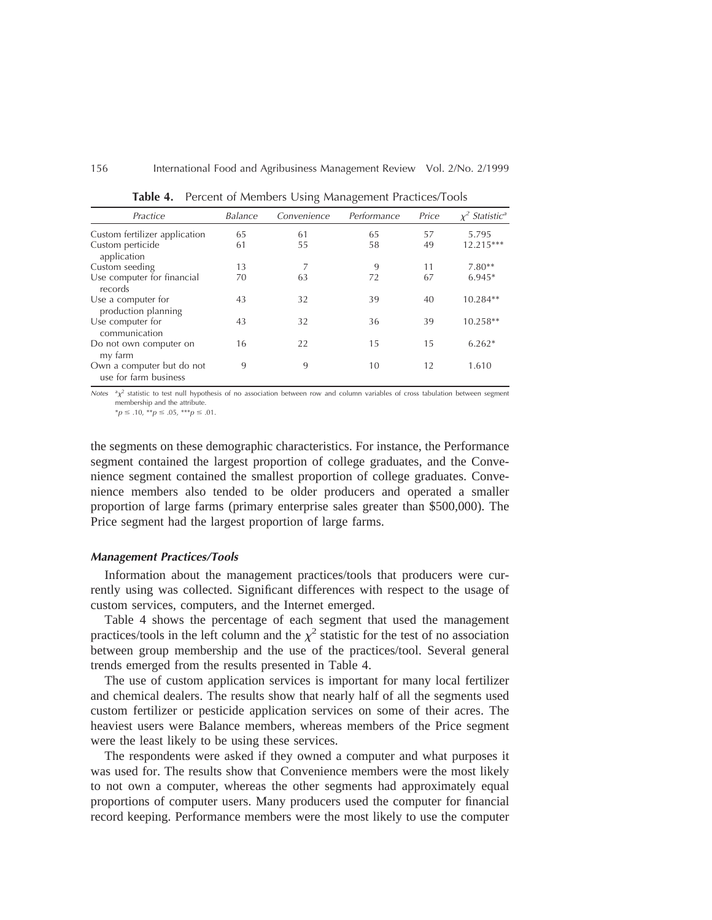| Practice                                           | Balance | Convenience | Performance | Price | $\chi^2$ Statistic <sup>a</sup> |
|----------------------------------------------------|---------|-------------|-------------|-------|---------------------------------|
| Custom fertilizer application                      | 65      | 61          | 65          | 57    | 5.795                           |
| Custom perticide<br>application                    | 61      | 55          | 58          | 49    | $12.215***$                     |
| Custom seeding                                     | 13      | 7           | 9           | 11    | $7.80**$                        |
| Use computer for financial<br>records              | 70      | 63          | 72          | 67    | $6.945*$                        |
| Use a computer for<br>production planning          | 43      | 32          | 39          | 40    | 10.284**                        |
| Use computer for<br>communication                  | 43      | 32          | 36          | 39    | $10.258**$                      |
| Do not own computer on<br>my farm                  | 16      | 22          | 15          | 15    | $6.262*$                        |
| Own a computer but do not<br>use for farm business | 9       | 9           | 10          | 12    | 1.610                           |

**Table 4.** Percent of Members Using Management Practices/Tools

Notes  $a_{\chi^2}$  statistic to test null hypothesis of no association between row and column variables of cross tabulation between segment membership and the attribute.

 $**p* \le .10, ***p* \le .05, ***p* \le .01.$ 

the segments on these demographic characteristics. For instance, the Performance segment contained the largest proportion of college graduates, and the Convenience segment contained the smallest proportion of college graduates. Convenience members also tended to be older producers and operated a smaller proportion of large farms (primary enterprise sales greater than \$500,000). The Price segment had the largest proportion of large farms.

#### **Management Practices/Tools**

Information about the management practices/tools that producers were currently using was collected. Significant differences with respect to the usage of custom services, computers, and the Internet emerged.

Table 4 shows the percentage of each segment that used the management practices/tools in the left column and the  $\chi^2$  statistic for the test of no association between group membership and the use of the practices/tool. Several general trends emerged from the results presented in Table 4.

The use of custom application services is important for many local fertilizer and chemical dealers. The results show that nearly half of all the segments used custom fertilizer or pesticide application services on some of their acres. The heaviest users were Balance members, whereas members of the Price segment were the least likely to be using these services.

The respondents were asked if they owned a computer and what purposes it was used for. The results show that Convenience members were the most likely to not own a computer, whereas the other segments had approximately equal proportions of computer users. Many producers used the computer for financial record keeping. Performance members were the most likely to use the computer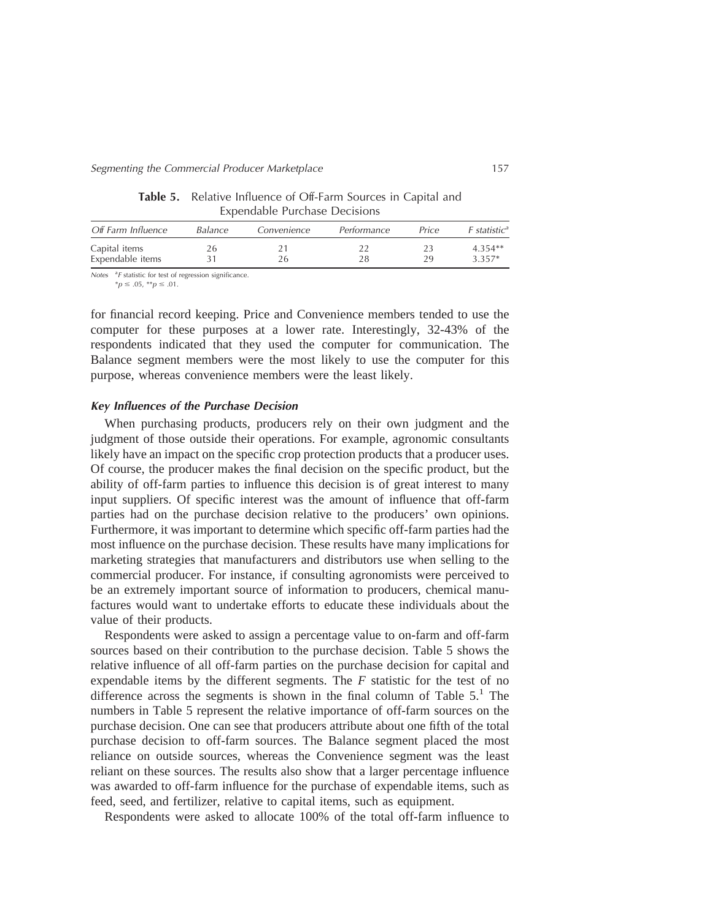| Experimente i dicitable Decisions |                |             |             |       |                            |  |
|-----------------------------------|----------------|-------------|-------------|-------|----------------------------|--|
| Off Farm Influence                | <i>Balance</i> | Convenience | Performance | Price | $F$ statistic <sup>a</sup> |  |
| Capital items<br>Expendable items | 26             |             |             | 29    | $4.354**$<br>$3.357*$      |  |

**Table 5.** Relative Influence of Off-Farm Sources in Capital and Expendable Purchase Decisions

Notes <sup>a</sup>F statistic for test of regression significance.

 $*_{p} \leq .05, **_{p} \leq .01.$ 

for financial record keeping. Price and Convenience members tended to use the computer for these purposes at a lower rate. Interestingly, 32-43% of the respondents indicated that they used the computer for communication. The Balance segment members were the most likely to use the computer for this purpose, whereas convenience members were the least likely.

#### **Key Influences of the Purchase Decision**

When purchasing products, producers rely on their own judgment and the judgment of those outside their operations. For example, agronomic consultants likely have an impact on the specific crop protection products that a producer uses. Of course, the producer makes the final decision on the specific product, but the ability of off-farm parties to influence this decision is of great interest to many input suppliers. Of specific interest was the amount of influence that off-farm parties had on the purchase decision relative to the producers' own opinions. Furthermore, it was important to determine which specific off-farm parties had the most influence on the purchase decision. These results have many implications for marketing strategies that manufacturers and distributors use when selling to the commercial producer. For instance, if consulting agronomists were perceived to be an extremely important source of information to producers, chemical manufactures would want to undertake efforts to educate these individuals about the value of their products.

Respondents were asked to assign a percentage value to on-farm and off-farm sources based on their contribution to the purchase decision. Table 5 shows the relative influence of all off-farm parties on the purchase decision for capital and expendable items by the different segments. The *F* statistic for the test of no difference across the segments is shown in the final column of Table  $5<sup>1</sup>$ . The numbers in Table 5 represent the relative importance of off-farm sources on the purchase decision. One can see that producers attribute about one fifth of the total purchase decision to off-farm sources. The Balance segment placed the most reliance on outside sources, whereas the Convenience segment was the least reliant on these sources. The results also show that a larger percentage influence was awarded to off-farm influence for the purchase of expendable items, such as feed, seed, and fertilizer, relative to capital items, such as equipment.

Respondents were asked to allocate 100% of the total off-farm influence to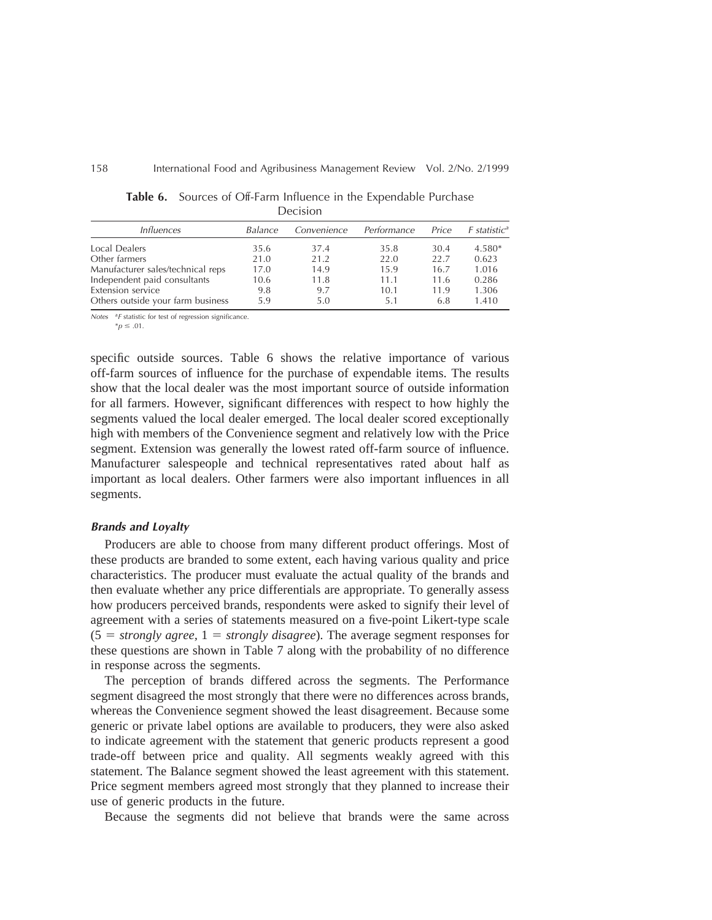| --------                          |                |             |             |       |                            |  |
|-----------------------------------|----------------|-------------|-------------|-------|----------------------------|--|
| <i>Influences</i>                 | <i>Balance</i> | Convenience | Performance | Price | $F$ statistic <sup>a</sup> |  |
| Local Dealers                     | 35.6           | 37.4        | 35.8        | 30.4  | 4.580*                     |  |
| Other farmers                     | 21.0           | 21.2        | 22.0        | 22.7  | 0.623                      |  |
| Manufacturer sales/technical reps | 17.0           | 14.9        | 15.9        | 16.7  | 1.016                      |  |
| Independent paid consultants      | 10.6           | 11.8        | 11.1        | 11.6  | 0.286                      |  |
| <b>Extension service</b>          | 9.8            | 9.7         | 10.1        | 11.9  | 1.306                      |  |
| Others outside your farm business | 5.9            | 5.0         | 5.1         | 6.8   | 1.410                      |  |
|                                   |                |             |             |       |                            |  |

**Table 6.** Sources of Off-Farm Influence in the Expendable Purchase Decision

Notes <sup>a</sup>F statistic for test of regression significance.

 $*_{D} \le .01$ .

specific outside sources. Table 6 shows the relative importance of various off-farm sources of influence for the purchase of expendable items. The results show that the local dealer was the most important source of outside information for all farmers. However, significant differences with respect to how highly the segments valued the local dealer emerged. The local dealer scored exceptionally high with members of the Convenience segment and relatively low with the Price segment. Extension was generally the lowest rated off-farm source of influence. Manufacturer salespeople and technical representatives rated about half as important as local dealers. Other farmers were also important influences in all segments.

### **Brands and Loyalty**

Producers are able to choose from many different product offerings. Most of these products are branded to some extent, each having various quality and price characteristics. The producer must evaluate the actual quality of the brands and then evaluate whether any price differentials are appropriate. To generally assess how producers perceived brands, respondents were asked to signify their level of agreement with a series of statements measured on a five-point Likert-type scale  $(5 = strongly agree, 1 = strongly disagree)$ . The average segment responses for these questions are shown in Table 7 along with the probability of no difference in response across the segments.

The perception of brands differed across the segments. The Performance segment disagreed the most strongly that there were no differences across brands, whereas the Convenience segment showed the least disagreement. Because some generic or private label options are available to producers, they were also asked to indicate agreement with the statement that generic products represent a good trade-off between price and quality. All segments weakly agreed with this statement. The Balance segment showed the least agreement with this statement. Price segment members agreed most strongly that they planned to increase their use of generic products in the future.

Because the segments did not believe that brands were the same across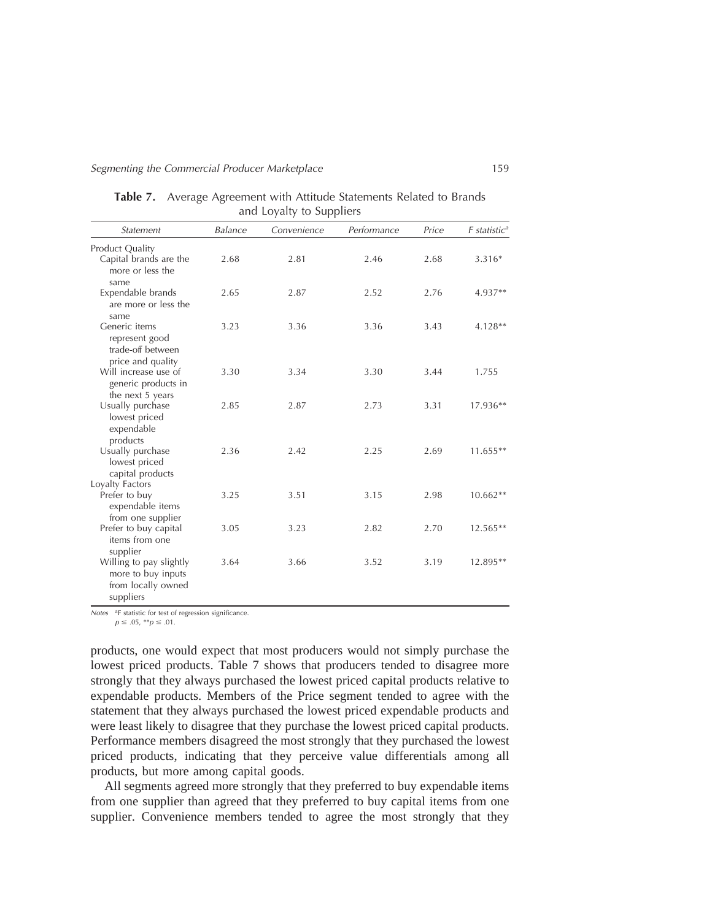| Statement                                                                            | Balance | $\ldots$ $\ldots$ $\ldots$ $\ldots$ $\ldots$<br>Convenience | Performance | Price | $F$ statistic <sup>a</sup> |
|--------------------------------------------------------------------------------------|---------|-------------------------------------------------------------|-------------|-------|----------------------------|
| Product Quality                                                                      |         |                                                             |             |       |                            |
| Capital brands are the<br>more or less the                                           | 2.68    | 2.81                                                        | 2.46        | 2.68  | $3.316*$                   |
| same<br>Expendable brands<br>are more or less the<br>same                            | 2.65    | 2.87                                                        | 2.52        | 2.76  | 4.937**                    |
| Generic items<br>represent good<br>trade-off between                                 | 3.23    | 3.36                                                        | 3.36        | 3.43  | $4.128**$                  |
| price and quality<br>Will increase use of<br>generic products in<br>the next 5 years | 3.30    | 3.34                                                        | 3.30        | 3.44  | 1.755                      |
| Usually purchase<br>lowest priced<br>expendable<br>products                          | 2.85    | 2.87                                                        | 2.73        | 3.31  | 17.936**                   |
| Usually purchase<br>lowest priced<br>capital products                                | 2.36    | 2.42                                                        | 2.25        | 2.69  | 11.655**                   |
| Loyalty Factors<br>Prefer to buy<br>expendable items                                 | 3.25    | 3.51                                                        | 3.15        | 2.98  | 10.662**                   |
| from one supplier<br>Prefer to buy capital<br>items from one<br>supplier             | 3.05    | 3.23                                                        | 2.82        | 2.70  | 12.565**                   |
| Willing to pay slightly<br>more to buy inputs<br>from locally owned<br>suppliers     | 3.64    | 3.66                                                        | 3.52        | 3.19  | 12.895**                   |

**Table 7.** Average Agreement with Attitude Statements Related to Brands and Loyalty to Suppliers

Notes <sup>a</sup>F statistic for test of regression significance.

 $p \le .05$ , \*\* $p \le .01$ .

products, one would expect that most producers would not simply purchase the lowest priced products. Table 7 shows that producers tended to disagree more strongly that they always purchased the lowest priced capital products relative to expendable products. Members of the Price segment tended to agree with the statement that they always purchased the lowest priced expendable products and were least likely to disagree that they purchase the lowest priced capital products. Performance members disagreed the most strongly that they purchased the lowest priced products, indicating that they perceive value differentials among all products, but more among capital goods.

All segments agreed more strongly that they preferred to buy expendable items from one supplier than agreed that they preferred to buy capital items from one supplier. Convenience members tended to agree the most strongly that they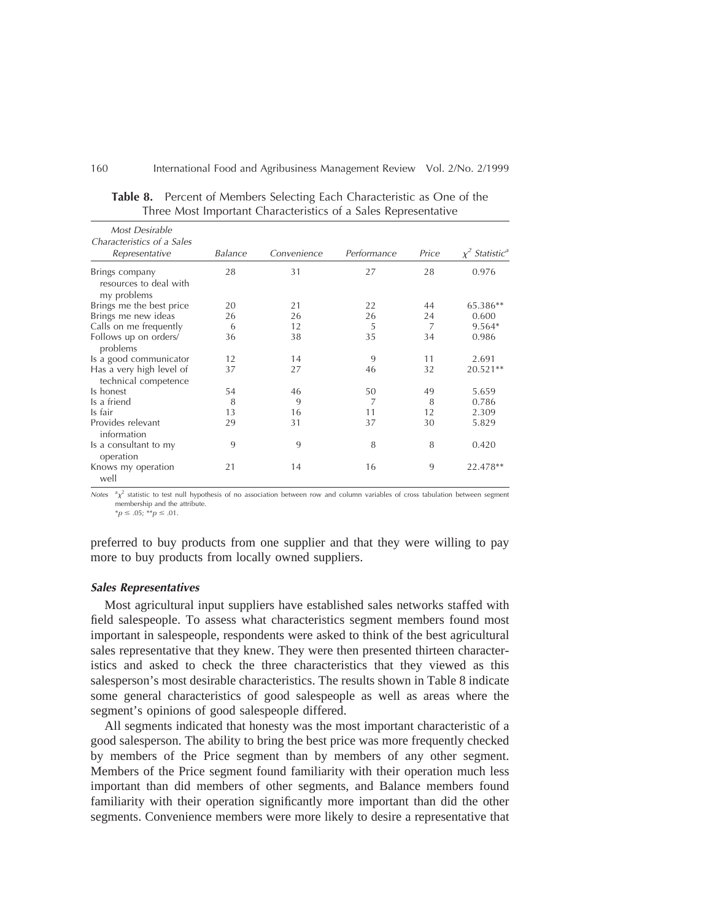| Most Desirable<br>Characteristics of a Sales            |                |             |             |       |                                 |
|---------------------------------------------------------|----------------|-------------|-------------|-------|---------------------------------|
| Representative                                          | <b>Balance</b> | Convenience | Performance | Price | $\chi^2$ Statistic <sup>a</sup> |
| Brings company<br>resources to deal with<br>my problems | 28             | 31          | 27          | 28    | 0.976                           |
| Brings me the best price                                | 20             | 21          | 22          | 44    | 65.386**                        |
| Brings me new ideas                                     | 26             | 26          | 26          | 24    | 0.600                           |
| Calls on me frequently                                  | 6              | 12          | 5           | 7     | 9.564*                          |
| Follows up on orders/<br>problems                       | 36             | 38          | 35          | 34    | 0.986                           |
| Is a good communicator                                  | 12             | 14          | 9           | 11    | 2.691                           |
| Has a very high level of<br>technical competence        | 37             | 27          | 46          | 32    | 20.521**                        |
| Is honest                                               | 54             | 46          | 50          | 49    | 5.659                           |
| Is a friend                                             | 8              | 9           | 7           | 8     | 0.786                           |
| Is fair                                                 | 13             | 16          | 11          | 12    | 2.309                           |
| Provides relevant<br>information                        | 29             | 31          | 37          | 30    | 5.829                           |
| Is a consultant to my<br>operation                      | 9              | 9           | 8           | 8     | 0.420                           |
| Knows my operation<br>well                              | 21             | 14          | 16          | 9     | 22.478**                        |

**Table 8.** Percent of Members Selecting Each Characteristic as One of the Three Most Important Characteristics of a Sales Representative

Notes  $a_{\chi^2}$  statistic to test null hypothesis of no association between row and column variables of cross tabulation between segment membership and the attribute.

 $**p* \le .05; ***p* \le .01.$ 

preferred to buy products from one supplier and that they were willing to pay more to buy products from locally owned suppliers.

#### **Sales Representatives**

Most agricultural input suppliers have established sales networks staffed with field salespeople. To assess what characteristics segment members found most important in salespeople, respondents were asked to think of the best agricultural sales representative that they knew. They were then presented thirteen characteristics and asked to check the three characteristics that they viewed as this salesperson's most desirable characteristics. The results shown in Table 8 indicate some general characteristics of good salespeople as well as areas where the segment's opinions of good salespeople differed.

All segments indicated that honesty was the most important characteristic of a good salesperson. The ability to bring the best price was more frequently checked by members of the Price segment than by members of any other segment. Members of the Price segment found familiarity with their operation much less important than did members of other segments, and Balance members found familiarity with their operation significantly more important than did the other segments. Convenience members were more likely to desire a representative that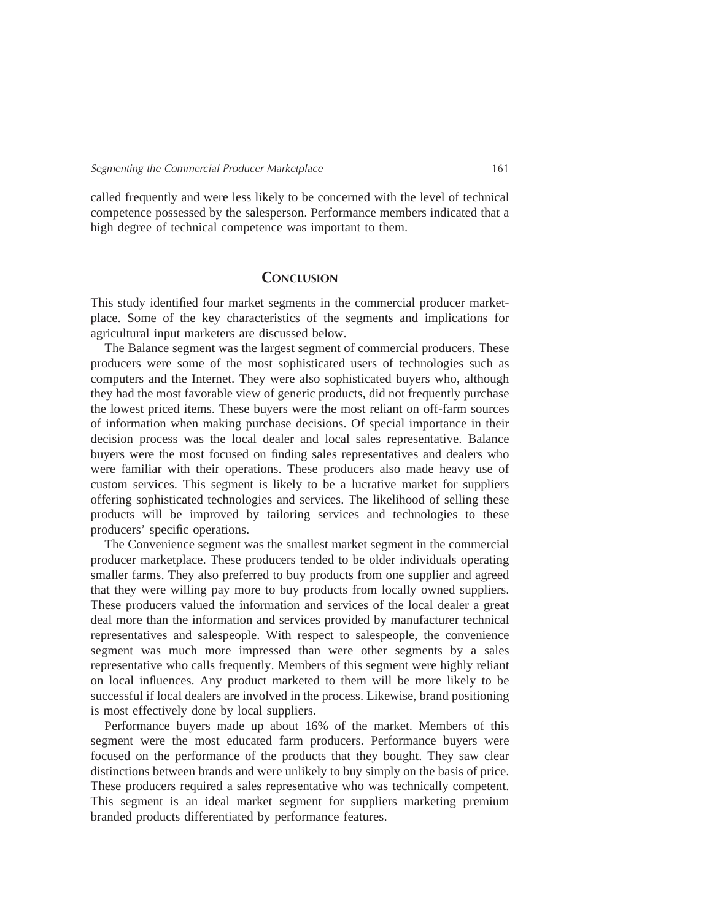called frequently and were less likely to be concerned with the level of technical competence possessed by the salesperson. Performance members indicated that a high degree of technical competence was important to them.

## **CONCLUSION**

This study identified four market segments in the commercial producer marketplace. Some of the key characteristics of the segments and implications for agricultural input marketers are discussed below.

The Balance segment was the largest segment of commercial producers. These producers were some of the most sophisticated users of technologies such as computers and the Internet. They were also sophisticated buyers who, although they had the most favorable view of generic products, did not frequently purchase the lowest priced items. These buyers were the most reliant on off-farm sources of information when making purchase decisions. Of special importance in their decision process was the local dealer and local sales representative. Balance buyers were the most focused on finding sales representatives and dealers who were familiar with their operations. These producers also made heavy use of custom services. This segment is likely to be a lucrative market for suppliers offering sophisticated technologies and services. The likelihood of selling these products will be improved by tailoring services and technologies to these producers' specific operations.

The Convenience segment was the smallest market segment in the commercial producer marketplace. These producers tended to be older individuals operating smaller farms. They also preferred to buy products from one supplier and agreed that they were willing pay more to buy products from locally owned suppliers. These producers valued the information and services of the local dealer a great deal more than the information and services provided by manufacturer technical representatives and salespeople. With respect to salespeople, the convenience segment was much more impressed than were other segments by a sales representative who calls frequently. Members of this segment were highly reliant on local influences. Any product marketed to them will be more likely to be successful if local dealers are involved in the process. Likewise, brand positioning is most effectively done by local suppliers.

Performance buyers made up about 16% of the market. Members of this segment were the most educated farm producers. Performance buyers were focused on the performance of the products that they bought. They saw clear distinctions between brands and were unlikely to buy simply on the basis of price. These producers required a sales representative who was technically competent. This segment is an ideal market segment for suppliers marketing premium branded products differentiated by performance features.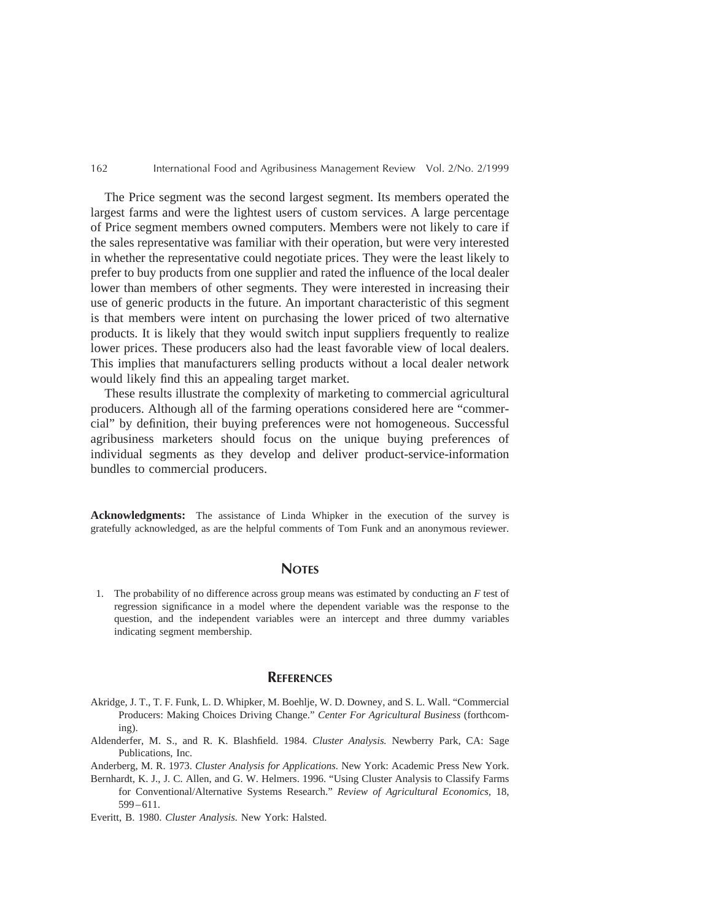The Price segment was the second largest segment. Its members operated the largest farms and were the lightest users of custom services. A large percentage of Price segment members owned computers. Members were not likely to care if the sales representative was familiar with their operation, but were very interested in whether the representative could negotiate prices. They were the least likely to prefer to buy products from one supplier and rated the influence of the local dealer lower than members of other segments. They were interested in increasing their use of generic products in the future. An important characteristic of this segment is that members were intent on purchasing the lower priced of two alternative products. It is likely that they would switch input suppliers frequently to realize lower prices. These producers also had the least favorable view of local dealers. This implies that manufacturers selling products without a local dealer network would likely find this an appealing target market.

These results illustrate the complexity of marketing to commercial agricultural producers. Although all of the farming operations considered here are "commercial" by definition, their buying preferences were not homogeneous. Successful agribusiness marketers should focus on the unique buying preferences of individual segments as they develop and deliver product-service-information bundles to commercial producers.

**Acknowledgments:** The assistance of Linda Whipker in the execution of the survey is gratefully acknowledged, as are the helpful comments of Tom Funk and an anonymous reviewer.

## **NOTES**

1. The probability of no difference across group means was estimated by conducting an *F* test of regression significance in a model where the dependent variable was the response to the question, and the independent variables were an intercept and three dummy variables indicating segment membership.

#### **REFERENCES**

- Akridge, J. T., T. F. Funk, L. D. Whipker, M. Boehlje, W. D. Downey, and S. L. Wall. "Commercial Producers: Making Choices Driving Change." *Center For Agricultural Business* (forthcoming).
- Aldenderfer, M. S., and R. K. Blashfield. 1984. *Cluster Analysis.* Newberry Park, CA: Sage Publications, Inc.

Anderberg, M. R. 1973. *Cluster Analysis for Applications.* New York: Academic Press New York.

Bernhardt, K. J., J. C. Allen, and G. W. Helmers. 1996. "Using Cluster Analysis to Classify Farms for Conventional/Alternative Systems Research." *Review of Agricultural Economics,* 18, 599–611.

Everitt, B. 1980. *Cluster Analysis.* New York: Halsted.